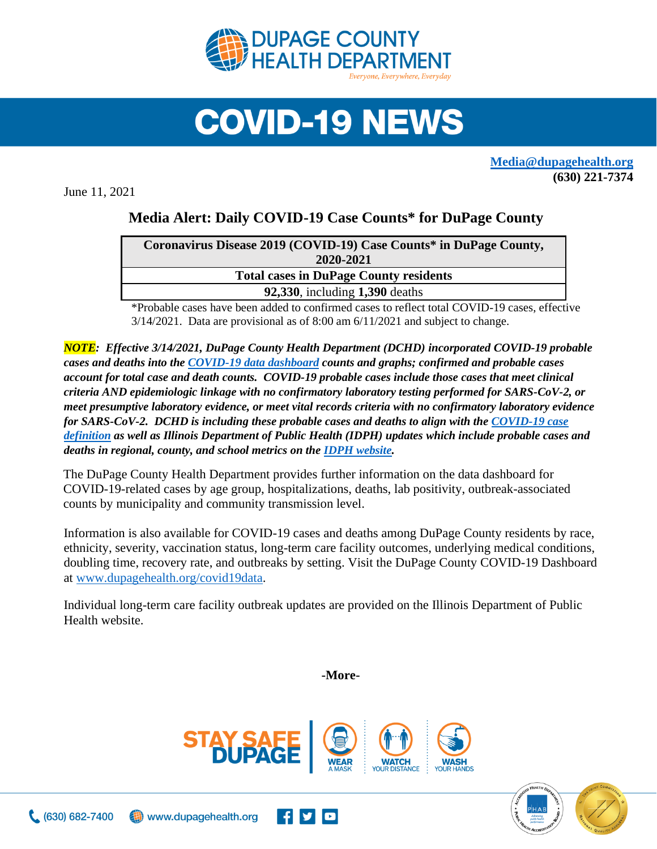

## **COVID-19 NEWS**

**[Media@dupagehealth.org](mailto:Media@dupagehealth.org) (630) 221-7374**

June 11, 2021

## **Media Alert: Daily COVID-19 Case Counts\* for DuPage County**

| Coronavirus Disease 2019 (COVID-19) Case Counts* in DuPage County, |  |
|--------------------------------------------------------------------|--|
| 2020-2021                                                          |  |
| <b>Total cases in DuPage County residents</b>                      |  |
| <b>92,330, including 1,390 deaths</b>                              |  |
|                                                                    |  |

\*Probable cases have been added to confirmed cases to reflect total COVID-19 cases, effective 3/14/2021. Data are provisional as of 8:00 am 6/11/2021 and subject to change.

*NOTE: Effective 3/14/2021, DuPage County Health Department (DCHD) incorporated COVID-19 probable cases and deaths into the [COVID-19 data dashboard](http://www.dupagehealth.org/covid19data) counts and graphs; confirmed and probable cases account for total case and death counts. COVID-19 probable cases include those cases that meet clinical criteria AND epidemiologic linkage with no confirmatory laboratory testing performed for SARS-CoV-2, or meet presumptive laboratory evidence, or meet vital records criteria with no confirmatory laboratory evidence for SARS-CoV-2. DCHD is including these probable cases and deaths to align with the [COVID-19 case](https://wwwn.cdc.gov/nndss/conditions/coronavirus-disease-2019-covid-19/case-definition/2020/08/05/)  [definition](https://wwwn.cdc.gov/nndss/conditions/coronavirus-disease-2019-covid-19/case-definition/2020/08/05/) as well as Illinois Department of Public Health (IDPH) updates which include probable cases and deaths in regional, county, and school metrics on th[e IDPH website.](http://dph.illinois.gov/covid19/covid19-statistics)*

The DuPage County Health Department provides further information on the data dashboard for COVID-19-related cases by age group, hospitalizations, deaths, lab positivity, outbreak-associated counts by municipality and community transmission level.

Information is also available for COVID-19 cases and deaths among DuPage County residents by race, ethnicity, severity, vaccination status, long-term care facility outcomes, underlying medical conditions, doubling time, recovery rate, and outbreaks by setting. Visit the DuPage County COVID-19 Dashboard at [www.dupagehealth.org/covid19data.](http://www.dupagehealth.org/covid19data)

Individual long-term care facility outbreak updates are provided on the Illinois Department of Public Health website.

**-More-**